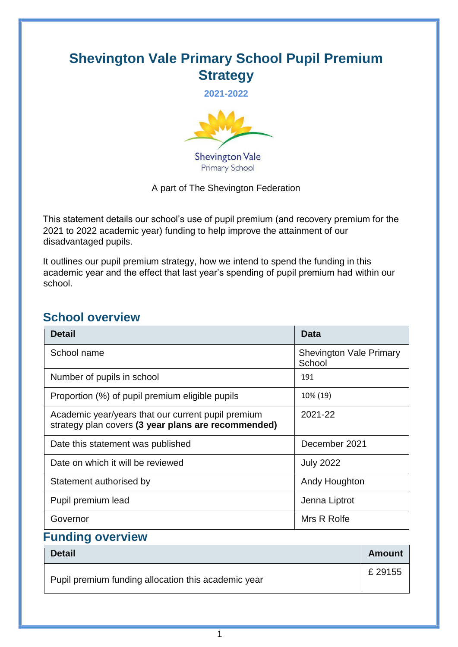# **Shevington Vale Primary School Pupil Premium Strategy**

**2021-2022** 



**Primary School** 

A part of The Shevington Federation

This statement details our school's use of pupil premium (and recovery premium for the 2021 to 2022 academic year) funding to help improve the attainment of our disadvantaged pupils.

It outlines our pupil premium strategy, how we intend to spend the funding in this academic year and the effect that last year's spending of pupil premium had within our school.

### **School overview**

| <b>Detail</b>                                                                                             | Data                                     |
|-----------------------------------------------------------------------------------------------------------|------------------------------------------|
| School name                                                                                               | <b>Shevington Vale Primary</b><br>School |
| Number of pupils in school                                                                                | 191                                      |
| Proportion (%) of pupil premium eligible pupils                                                           | 10% (19)                                 |
| Academic year/years that our current pupil premium<br>strategy plan covers (3 year plans are recommended) | 2021-22                                  |
| Date this statement was published                                                                         | December 2021                            |
| Date on which it will be reviewed                                                                         | <b>July 2022</b>                         |
| Statement authorised by                                                                                   | Andy Houghton                            |
| Pupil premium lead                                                                                        | Jenna Liptrot                            |
| Governor                                                                                                  | Mrs R Rolfe                              |

## **Funding overview**

| <b>Detail</b>                                       | <b>Amount</b> |
|-----------------------------------------------------|---------------|
| Pupil premium funding allocation this academic year | £ 29155       |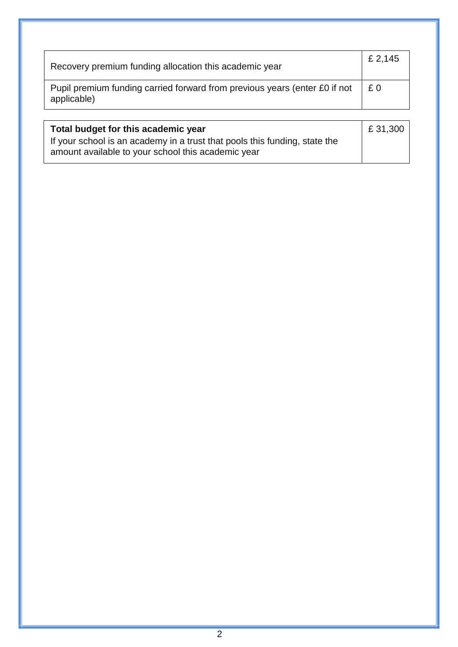| Recovery premium funding allocation this academic year                                    | £ 2,145 |
|-------------------------------------------------------------------------------------------|---------|
| Pupil premium funding carried forward from previous years (enter £0 if not<br>applicable) | £0      |

| Total budget for this academic year                                        | £ 31,300 |
|----------------------------------------------------------------------------|----------|
| If your school is an academy in a trust that pools this funding, state the |          |
| amount available to your school this academic year                         |          |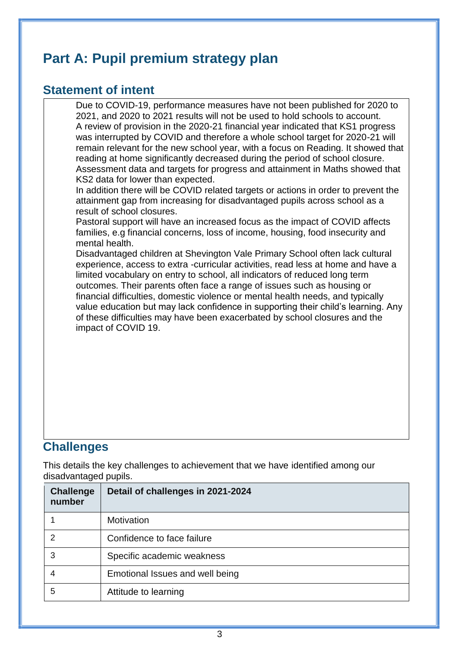## **Part A: Pupil premium strategy plan**

#### **Statement of intent**

Due to COVID-19, performance measures have not been published for 2020 to 2021, and 2020 to 2021 results will not be used to hold schools to account. A review of provision in the 2020-21 financial year indicated that KS1 progress was interrupted by COVID and therefore a whole school target for 2020-21 will remain relevant for the new school year, with a focus on Reading. It showed that reading at home significantly decreased during the period of school closure. Assessment data and targets for progress and attainment in Maths showed that KS2 data for lower than expected.

In addition there will be COVID related targets or actions in order to prevent the attainment gap from increasing for disadvantaged pupils across school as a result of school closures.

Pastoral support will have an increased focus as the impact of COVID affects families, e.g financial concerns, loss of income, housing, food insecurity and mental health.

Disadvantaged children at Shevington Vale Primary School often lack cultural experience, access to extra -curricular activities, read less at home and have a limited vocabulary on entry to school, all indicators of reduced long term outcomes. Their parents often face a range of issues such as housing or financial difficulties, domestic violence or mental health needs, and typically value education but may lack confidence in supporting their child's learning. Any of these difficulties may have been exacerbated by school closures and the impact of COVID 19.

## **Challenges**

This details the key challenges to achievement that we have identified among our disadvantaged pupils.

| <b>Challenge</b><br>number | Detail of challenges in 2021-2024 |
|----------------------------|-----------------------------------|
|                            | Motivation                        |
|                            | Confidence to face failure        |
| 3                          | Specific academic weakness        |
|                            | Emotional Issues and well being   |
| 5                          | Attitude to learning              |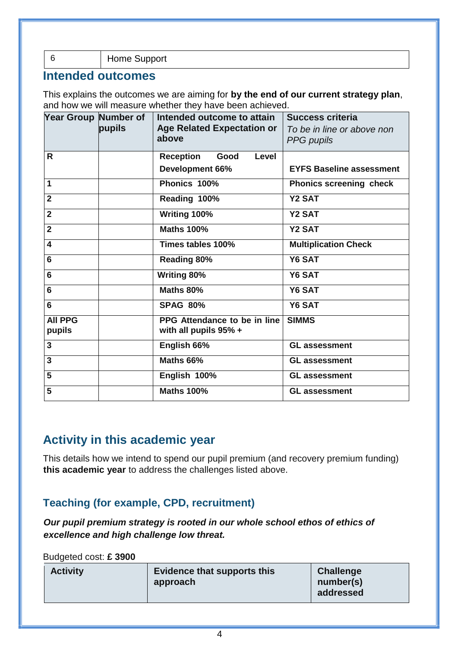6 Home Support

#### **Intended outcomes**

This explains the outcomes we are aiming for **by the end of our current strategy plan**, and how we will measure whether they have been achieved.

| <b>Year Group Number of</b> | pupils | Intended outcome to attain<br><b>Age Related Expectation or</b><br>above | <b>Success criteria</b><br>To be in line or above non<br>PPG pupils |
|-----------------------------|--------|--------------------------------------------------------------------------|---------------------------------------------------------------------|
| R                           |        | <b>Reception</b><br>Good<br>Level                                        |                                                                     |
|                             |        | Development 66%                                                          | <b>EYFS Baseline assessment</b>                                     |
| 1                           |        | Phonics 100%                                                             | <b>Phonics screening check</b>                                      |
| $\overline{2}$              |        | Reading 100%                                                             | <b>Y2 SAT</b>                                                       |
| $\overline{2}$              |        | Writing 100%                                                             | <b>Y2 SAT</b>                                                       |
| $\overline{2}$              |        | <b>Maths 100%</b>                                                        | <b>Y2 SAT</b>                                                       |
| $\overline{\mathbf{4}}$     |        | Times tables 100%                                                        | <b>Multiplication Check</b>                                         |
| 6                           |        | <b>Reading 80%</b>                                                       | Y6 SAT                                                              |
| 6                           |        | Writing 80%                                                              | Y6 SAT                                                              |
| 6                           |        | Maths 80%                                                                | Y6 SAT                                                              |
| 6                           |        | <b>SPAG 80%</b>                                                          | Y6 SAT                                                              |
| <b>AII PPG</b>              |        | PPG Attendance to be in line                                             | <b>SIMMS</b>                                                        |
| pupils                      |        | with all pupils 95% +                                                    |                                                                     |
| $\overline{3}$              |        | English 66%                                                              | <b>GL assessment</b>                                                |
| 3                           |        | Maths 66%                                                                | <b>GL assessment</b>                                                |
| 5                           |        | English 100%                                                             | <b>GL</b> assessment                                                |
| 5                           |        | <b>Maths 100%</b>                                                        | <b>GL</b> assessment                                                |

#### **Activity in this academic year**

This details how we intend to spend our pupil premium (and recovery premium funding) **this academic year** to address the challenges listed above.

#### **Teaching (for example, CPD, recruitment)**

*Our pupil premium strategy is rooted in our whole school ethos of ethics of excellence and high challenge low threat.* 

Budgeted cost: **£ 3900**

| <b>Activity</b> | <b>Evidence that supports this</b><br>approach | <b>Challenge</b><br>number(s)<br>addressed |
|-----------------|------------------------------------------------|--------------------------------------------|
|-----------------|------------------------------------------------|--------------------------------------------|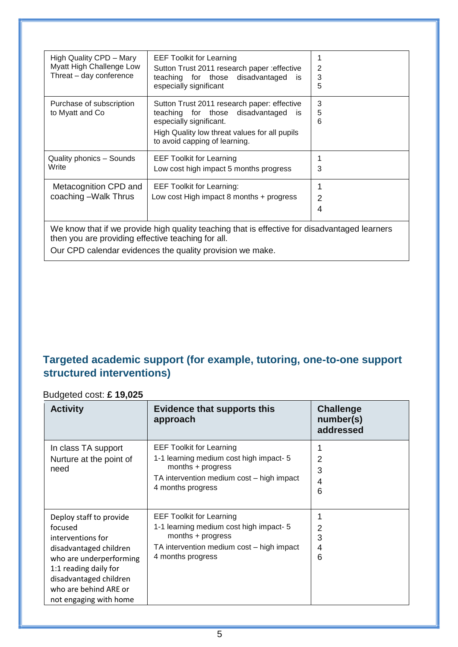| High Quality CPD - Mary<br>Myatt High Challenge Low<br>Threat - day conference                                                                                                                                   | <b>EEF Toolkit for Learning</b><br>Sutton Trust 2011 research paper : effective<br>teaching for those disadvantaged<br>is<br>especially significant                                                | 2<br>3<br>5              |
|------------------------------------------------------------------------------------------------------------------------------------------------------------------------------------------------------------------|----------------------------------------------------------------------------------------------------------------------------------------------------------------------------------------------------|--------------------------|
| Purchase of subscription<br>to Myatt and Co                                                                                                                                                                      | Sutton Trust 2011 research paper: effective<br>teaching for those disadvantaged<br>is<br>especially significant.<br>High Quality low threat values for all pupils<br>to avoid capping of learning. | 3<br>5<br>6              |
| Quality phonics - Sounds<br>Write                                                                                                                                                                                | <b>EEF Toolkit for Learning</b><br>Low cost high impact 5 months progress                                                                                                                          | 3                        |
| Metacognition CPD and<br>coaching -Walk Thrus                                                                                                                                                                    | <b>EEF Toolkit for Learning:</b><br>Low cost High impact 8 months + progress                                                                                                                       | 1<br>$\overline{2}$<br>4 |
| We know that if we provide high quality teaching that is effective for disadvantaged learners<br>then you are providing effective teaching for all.<br>Our CPD calendar evidences the quality provision we make. |                                                                                                                                                                                                    |                          |

#### **Targeted academic support (for example, tutoring, one-to-one support structured interventions)**

#### Budgeted cost: **£ 19,025**

| <b>Activity</b>                                                                                                                                                                                                    | <b>Evidence that supports this</b><br>approach                                                                                                                      | <b>Challenge</b><br>number(s)<br>addressed |
|--------------------------------------------------------------------------------------------------------------------------------------------------------------------------------------------------------------------|---------------------------------------------------------------------------------------------------------------------------------------------------------------------|--------------------------------------------|
| In class TA support<br>Nurture at the point of<br>need                                                                                                                                                             | <b>EEF Toolkit for Learning</b><br>1-1 learning medium cost high impact- 5<br>months + progress<br>TA intervention medium cost - high impact<br>4 months progress   | 1<br>2<br>3<br>4<br>6                      |
| Deploy staff to provide<br>focused<br>interventions for<br>disadvantaged children<br>who are underperforming<br>1:1 reading daily for<br>disadvantaged children<br>who are behind ARE or<br>not engaging with home | <b>EEF Toolkit for Learning</b><br>1-1 learning medium cost high impact- 5<br>months $+$ progress<br>TA intervention medium cost - high impact<br>4 months progress | 1<br>2<br>3<br>4<br>6                      |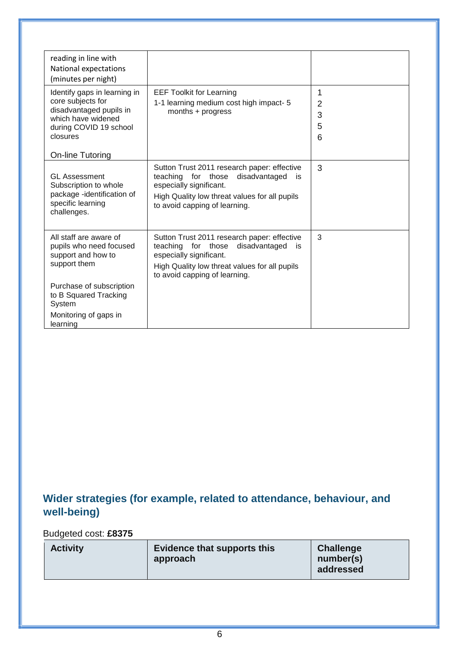| reading in line with<br>National expectations<br>(minutes per night)                                            |                                                                                                                                                                                                             |                |
|-----------------------------------------------------------------------------------------------------------------|-------------------------------------------------------------------------------------------------------------------------------------------------------------------------------------------------------------|----------------|
| Identify gaps in learning in                                                                                    | <b>EEF Toolkit for Learning</b>                                                                                                                                                                             | 1              |
| core subjects for<br>disadvantaged pupils in                                                                    | 1-1 learning medium cost high impact- 5                                                                                                                                                                     | $\overline{2}$ |
| which have widened                                                                                              | months + progress                                                                                                                                                                                           | 3              |
| during COVID 19 school                                                                                          |                                                                                                                                                                                                             | 5              |
| closures                                                                                                        |                                                                                                                                                                                                             | 6              |
| On-line Tutoring                                                                                                |                                                                                                                                                                                                             |                |
| <b>GL Assessment</b><br>Subscription to whole<br>package -identification of<br>specific learning<br>challenges. | Sutton Trust 2011 research paper: effective<br>teaching<br>for<br>those<br>disadvantaged<br>is<br>especially significant.<br>High Quality low threat values for all pupils<br>to avoid capping of learning. | 3              |
| All staff are aware of<br>pupils who need focused<br>support and how to<br>support them                         | Sutton Trust 2011 research paper: effective<br>teaching for those<br>disadvantaged<br>is<br>especially significant.<br>High Quality low threat values for all pupils<br>to avoid capping of learning.       | 3              |
| Purchase of subscription<br>to B Squared Tracking<br>System                                                     |                                                                                                                                                                                                             |                |
| Monitoring of gaps in<br>learning                                                                               |                                                                                                                                                                                                             |                |

#### **Wider strategies (for example, related to attendance, behaviour, and well-being)**

#### Budgeted cost: **£8375**

| <b>Activity</b> | <b>Evidence that supports this</b><br>approach | <b>Challenge</b><br>number(s)<br>addressed |
|-----------------|------------------------------------------------|--------------------------------------------|
|-----------------|------------------------------------------------|--------------------------------------------|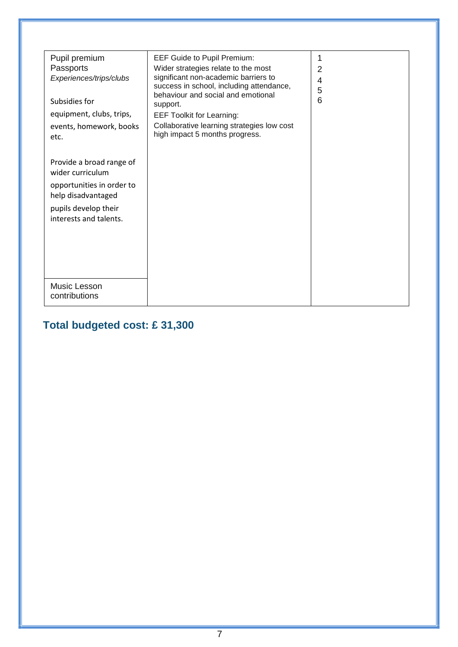| Pupil premium<br>Passports<br>Experiences/trips/clubs<br>Subsidies for<br>equipment, clubs, trips,<br>events, homework, books<br>etc.<br>Provide a broad range of<br>wider curriculum<br>opportunities in order to<br>help disadvantaged<br>pupils develop their<br>interests and talents. | <b>EEF Guide to Pupil Premium:</b><br>Wider strategies relate to the most<br>significant non-academic barriers to<br>success in school, including attendance,<br>behaviour and social and emotional<br>support.<br><b>EEF Toolkit for Learning:</b><br>Collaborative learning strategies low cost<br>high impact 5 months progress. | 1<br>2<br>4<br>5<br>6 |
|--------------------------------------------------------------------------------------------------------------------------------------------------------------------------------------------------------------------------------------------------------------------------------------------|-------------------------------------------------------------------------------------------------------------------------------------------------------------------------------------------------------------------------------------------------------------------------------------------------------------------------------------|-----------------------|
| Music Lesson<br>contributions                                                                                                                                                                                                                                                              |                                                                                                                                                                                                                                                                                                                                     |                       |
|                                                                                                                                                                                                                                                                                            |                                                                                                                                                                                                                                                                                                                                     |                       |

# **Total budgeted cost: £ 31,300**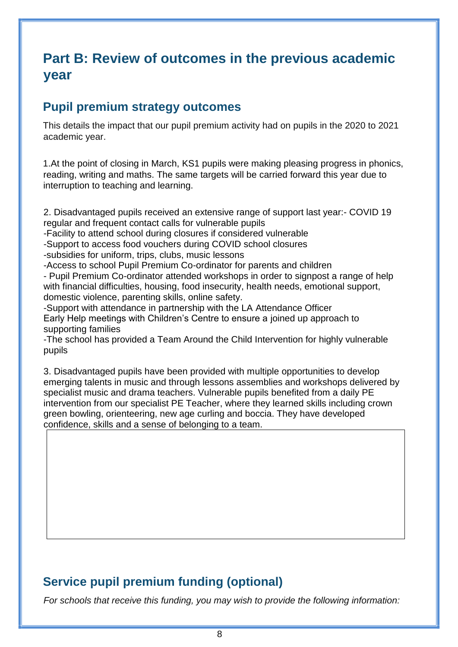## **Part B: Review of outcomes in the previous academic year**

### **Pupil premium strategy outcomes**

This details the impact that our pupil premium activity had on pupils in the 2020 to 2021 academic year.

1.At the point of closing in March, KS1 pupils were making pleasing progress in phonics, reading, writing and maths. The same targets will be carried forward this year due to interruption to teaching and learning.

2. Disadvantaged pupils received an extensive range of support last year:- COVID 19 regular and frequent contact calls for vulnerable pupils

-Facility to attend school during closures if considered vulnerable

-Support to access food vouchers during COVID school closures

-subsidies for uniform, trips, clubs, music lessons

-Access to school Pupil Premium Co-ordinator for parents and children

- Pupil Premium Co-ordinator attended workshops in order to signpost a range of help with financial difficulties, housing, food insecurity, health needs, emotional support, domestic violence, parenting skills, online safety.

-Support with attendance in partnership with the LA Attendance Officer Early Help meetings with Children's Centre to ensure a joined up approach to supporting families

-The school has provided a Team Around the Child Intervention for highly vulnerable pupils

3. Disadvantaged pupils have been provided with multiple opportunities to develop emerging talents in music and through lessons assemblies and workshops delivered by specialist music and drama teachers. Vulnerable pupils benefited from a daily PE intervention from our specialist PE Teacher, where they learned skills including crown green bowling, orienteering, new age curling and boccia. They have developed confidence, skills and a sense of belonging to a team.

## **Service pupil premium funding (optional)**

*For schools that receive this funding, you may wish to provide the following information:*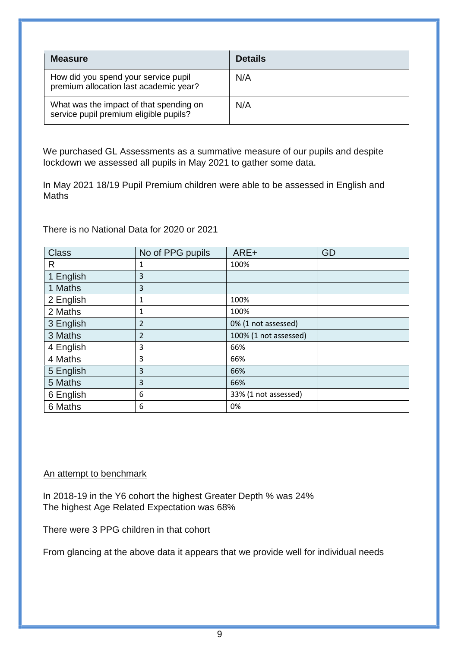| <b>Measure</b>                                                                    | <b>Details</b> |
|-----------------------------------------------------------------------------------|----------------|
| How did you spend your service pupil<br>premium allocation last academic year?    | N/A            |
| What was the impact of that spending on<br>service pupil premium eligible pupils? | N/A            |

We purchased GL Assessments as a summative measure of our pupils and despite lockdown we assessed all pupils in May 2021 to gather some data.

In May 2021 18/19 Pupil Premium children were able to be assessed in English and Maths

There is no National Data for 2020 or 2021

| <b>Class</b> | No of PPG pupils | ARE+                  | GD |
|--------------|------------------|-----------------------|----|
| R            | 1                | 100%                  |    |
| 1 English    | 3                |                       |    |
| 1 Maths      | 3                |                       |    |
| 2 English    | 1                | 100%                  |    |
| 2 Maths      | 1                | 100%                  |    |
| 3 English    | 2                | 0% (1 not assessed)   |    |
| 3 Maths      | 2                | 100% (1 not assessed) |    |
| 4 English    | 3                | 66%                   |    |
| 4 Maths      | 3                | 66%                   |    |
| 5 English    | 3                | 66%                   |    |
| 5 Maths      | 3                | 66%                   |    |
| 6 English    | 6                | 33% (1 not assessed)  |    |
| 6 Maths      | 6                | 0%                    |    |

#### An attempt to benchmark

In 2018-19 in the Y6 cohort the highest Greater Depth % was 24% The highest Age Related Expectation was 68%

There were 3 PPG children in that cohort

From glancing at the above data it appears that we provide well for individual needs